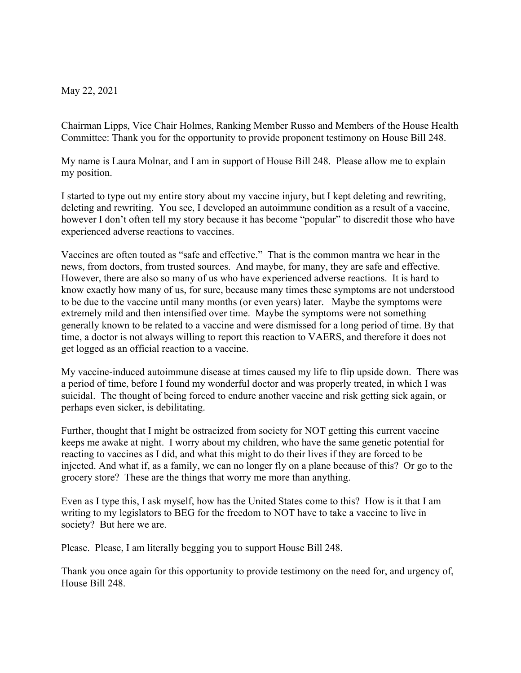May 22, 2021

Chairman Lipps, Vice Chair Holmes, Ranking Member Russo and Members of the House Health Committee: Thank you for the opportunity to provide proponent testimony on House Bill 248.

My name is Laura Molnar, and I am in support of House Bill 248. Please allow me to explain my position.

I started to type out my entire story about my vaccine injury, but I kept deleting and rewriting, deleting and rewriting. You see, I developed an autoimmune condition as a result of a vaccine, however I don't often tell my story because it has become "popular" to discredit those who have experienced adverse reactions to vaccines.

Vaccines are often touted as "safe and effective." That is the common mantra we hear in the news, from doctors, from trusted sources. And maybe, for many, they are safe and effective. However, there are also so many of us who have experienced adverse reactions. It is hard to know exactly how many of us, for sure, because many times these symptoms are not understood to be due to the vaccine until many months (or even years) later. Maybe the symptoms were extremely mild and then intensified over time. Maybe the symptoms were not something generally known to be related to a vaccine and were dismissed for a long period of time. By that time, a doctor is not always willing to report this reaction to VAERS, and therefore it does not get logged as an official reaction to a vaccine.

My vaccine-induced autoimmune disease at times caused my life to flip upside down. There was a period of time, before I found my wonderful doctor and was properly treated, in which I was suicidal. The thought of being forced to endure another vaccine and risk getting sick again, or perhaps even sicker, is debilitating.

Further, thought that I might be ostracized from society for NOT getting this current vaccine keeps me awake at night. I worry about my children, who have the same genetic potential for reacting to vaccines as I did, and what this might to do their lives if they are forced to be injected. And what if, as a family, we can no longer fly on a plane because of this? Or go to the grocery store? These are the things that worry me more than anything.

Even as I type this, I ask myself, how has the United States come to this? How is it that I am writing to my legislators to BEG for the freedom to NOT have to take a vaccine to live in society? But here we are.

Please. Please, I am literally begging you to support House Bill 248.

Thank you once again for this opportunity to provide testimony on the need for, and urgency of, House Bill 248.